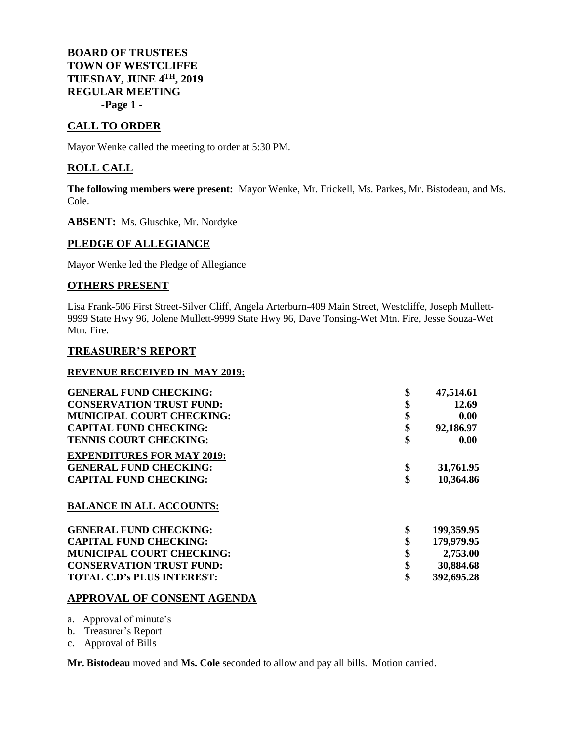**BOARD OF TRUSTEES TOWN OF WESTCLIFFE TUESDAY, JUNE 4TH, 2019 REGULAR MEETING -Page 1 -**

# **CALL TO ORDER**

Mayor Wenke called the meeting to order at 5:30 PM.

# **ROLL CALL**

**The following members were present:** Mayor Wenke, Mr. Frickell, Ms. Parkes, Mr. Bistodeau, and Ms. Cole.

**ABSENT:** Ms. Gluschke, Mr. Nordyke

## **PLEDGE OF ALLEGIANCE**

Mayor Wenke led the Pledge of Allegiance

## **OTHERS PRESENT**

Lisa Frank-506 First Street-Silver Cliff, Angela Arterburn-409 Main Street, Westcliffe, Joseph Mullett-9999 State Hwy 96, Jolene Mullett-9999 State Hwy 96, Dave Tonsing-Wet Mtn. Fire, Jesse Souza-Wet Mtn. Fire.

## **TREASURER'S REPORT**

## **REVENUE RECEIVED IN\_MAY 2019:**

| <b>GENERAL FUND CHECKING:</b>     | \$<br>47,514.61  |
|-----------------------------------|------------------|
| <b>CONSERVATION TRUST FUND:</b>   | \$<br>12.69      |
| <b>MUNICIPAL COURT CHECKING:</b>  | \$<br>0.00       |
| <b>CAPITAL FUND CHECKING:</b>     | \$<br>92,186.97  |
| <b>TENNIS COURT CHECKING:</b>     | \$<br>0.00       |
| <b>EXPENDITURES FOR MAY 2019:</b> |                  |
| <b>GENERAL FUND CHECKING:</b>     | \$<br>31,761.95  |
| <b>CAPITAL FUND CHECKING:</b>     | \$<br>10,364.86  |
| <b>BALANCE IN ALL ACCOUNTS:</b>   |                  |
| <b>GENERAL FUND CHECKING:</b>     | \$<br>199,359.95 |
| <b>CAPITAL FUND CHECKING:</b>     | \$<br>179,979.95 |
| <b>MUNICIPAL COURT CHECKING:</b>  | \$<br>2,753.00   |
| <b>CONSERVATION TRUST FUND:</b>   | \$<br>30,884.68  |
| <b>TOTAL C.D's PLUS INTEREST:</b> | \$<br>392,695.28 |

## **APPROVAL OF CONSENT AGENDA**

- a. Approval of minute's
- b. Treasurer's Report
- c. Approval of Bills

**Mr. Bistodeau** moved and **Ms. Cole** seconded to allow and pay all bills. Motion carried.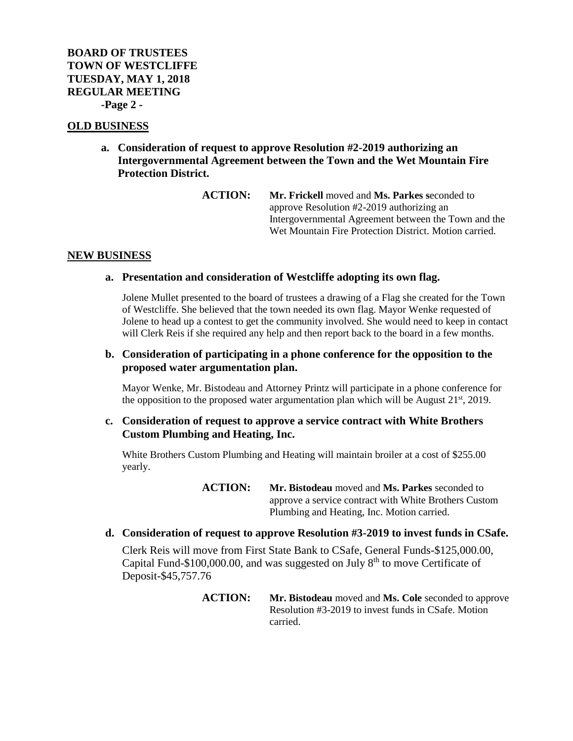# **BOARD OF TRUSTEES TOWN OF WESTCLIFFE TUESDAY, MAY 1, 2018 REGULAR MEETING -Page 2 -**

## **OLD BUSINESS**

**a. Consideration of request to approve Resolution #2-2019 authorizing an Intergovernmental Agreement between the Town and the Wet Mountain Fire Protection District.**

> **ACTION: Mr. Frickell** moved and **Ms. Parkes s**econded to approve Resolution #2-2019 authorizing an Intergovernmental Agreement between the Town and the Wet Mountain Fire Protection District. Motion carried.

# **NEW BUSINESS**

## **a. Presentation and consideration of Westcliffe adopting its own flag.**

Jolene Mullet presented to the board of trustees a drawing of a Flag she created for the Town of Westcliffe. She believed that the town needed its own flag. Mayor Wenke requested of Jolene to head up a contest to get the community involved. She would need to keep in contact will Clerk Reis if she required any help and then report back to the board in a few months.

# **b. Consideration of participating in a phone conference for the opposition to the proposed water argumentation plan.**

Mayor Wenke, Mr. Bistodeau and Attorney Printz will participate in a phone conference for the opposition to the proposed water argumentation plan which will be August  $21<sup>st</sup>$ ,  $2019$ .

# **c. Consideration of request to approve a service contract with White Brothers Custom Plumbing and Heating, Inc.**

White Brothers Custom Plumbing and Heating will maintain broiler at a cost of \$255.00 yearly.

> **ACTION: Mr. Bistodeau** moved and **Ms. Parkes** seconded to approve a service contract with White Brothers Custom Plumbing and Heating, Inc. Motion carried.

## **d. Consideration of request to approve Resolution #3-2019 to invest funds in CSafe.**

Clerk Reis will move from First State Bank to CSafe, General Funds-\$125,000.00, Capital Fund-\$100,000.00, and was suggested on July  $8<sup>th</sup>$  to move Certificate of Deposit-\$45,757.76

> **ACTION: Mr. Bistodeau** moved and **Ms. Cole** seconded to approve Resolution #3-2019 to invest funds in CSafe. Motion carried.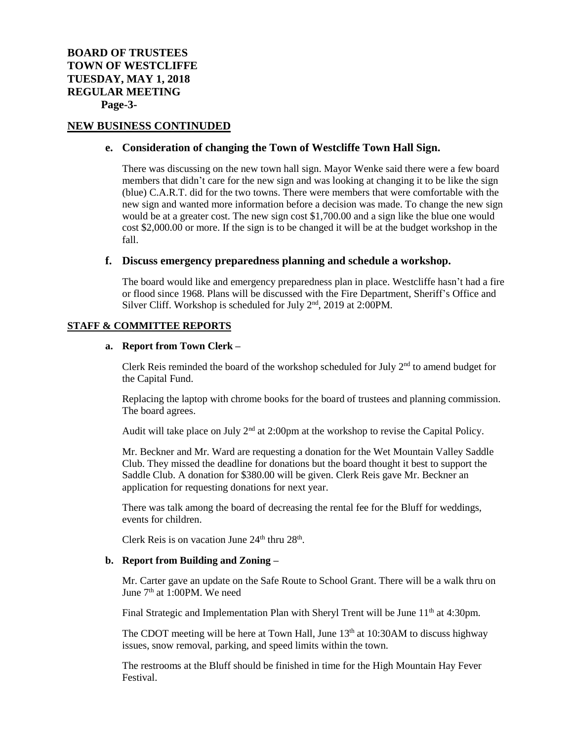## **NEW BUSINESS CONTINUDED**

#### **e. Consideration of changing the Town of Westcliffe Town Hall Sign.**

There was discussing on the new town hall sign. Mayor Wenke said there were a few board members that didn't care for the new sign and was looking at changing it to be like the sign (blue) C.A.R.T. did for the two towns. There were members that were comfortable with the new sign and wanted more information before a decision was made. To change the new sign would be at a greater cost. The new sign cost \$1,700.00 and a sign like the blue one would cost \$2,000.00 or more. If the sign is to be changed it will be at the budget workshop in the fall.

#### **f. Discuss emergency preparedness planning and schedule a workshop.**

The board would like and emergency preparedness plan in place. Westcliffe hasn't had a fire or flood since 1968. Plans will be discussed with the Fire Department, Sheriff's Office and Silver Cliff. Workshop is scheduled for July 2<sup>nd</sup>, 2019 at 2:00PM.

#### **STAFF & COMMITTEE REPORTS**

#### **a. Report from Town Clerk –**

Clerk Reis reminded the board of the workshop scheduled for July  $2<sup>nd</sup>$  to amend budget for the Capital Fund.

Replacing the laptop with chrome books for the board of trustees and planning commission. The board agrees.

Audit will take place on July  $2<sup>nd</sup>$  at 2:00pm at the workshop to revise the Capital Policy.

Mr. Beckner and Mr. Ward are requesting a donation for the Wet Mountain Valley Saddle Club. They missed the deadline for donations but the board thought it best to support the Saddle Club. A donation for \$380.00 will be given. Clerk Reis gave Mr. Beckner an application for requesting donations for next year.

There was talk among the board of decreasing the rental fee for the Bluff for weddings, events for children.

Clerk Reis is on vacation June 24<sup>th</sup> thru 28<sup>th</sup>.

#### **b. Report from Building and Zoning –**

Mr. Carter gave an update on the Safe Route to School Grant. There will be a walk thru on June  $7<sup>th</sup>$  at 1:00PM. We need

Final Strategic and Implementation Plan with Sheryl Trent will be June 11<sup>th</sup> at 4:30pm.

The CDOT meeting will be here at Town Hall, June 13<sup>th</sup> at 10:30AM to discuss highway issues, snow removal, parking, and speed limits within the town.

The restrooms at the Bluff should be finished in time for the High Mountain Hay Fever Festival.